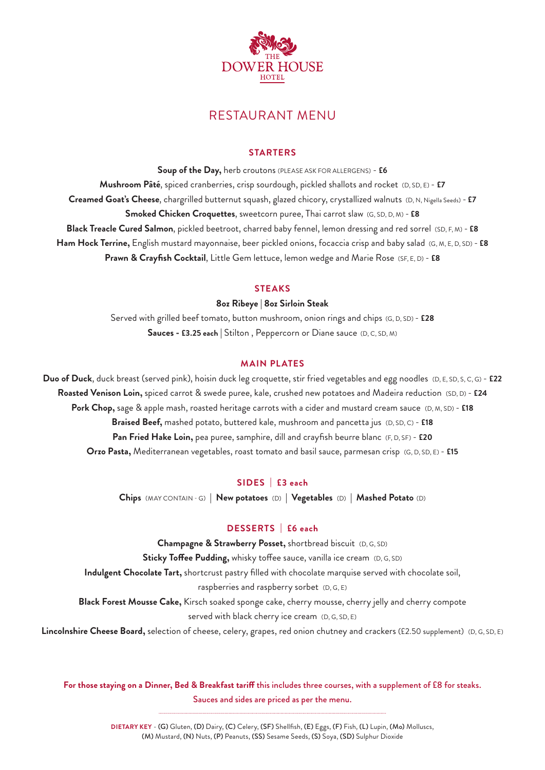

## RESTAURANT MENU

#### **STARTERS**

**Soup of the Day,** herb croutons (PLEASE ASK FOR ALLERGENS) - **£6 Mushroom Pâté**, spiced cranberries, crisp sourdough, pickled shallots and rocket (D, SD, E) - **£7 Creamed Goat's Cheese**, chargrilled butternut squash, glazed chicory, crystallized walnuts (D, N, Nigella Seeds) - **£7 Smoked Chicken Croquettes**, sweetcorn puree, Thai carrot slaw (G, SD, D, M) - **£8 Black Treacle Cured Salmon**, pickled beetroot, charred baby fennel, lemon dressing and red sorrel (SD, F, M) - **£8 Ham Hock Terrine,** English mustard mayonnaise, beer pickled onions, focaccia crisp and baby salad (G, M, E, D, SD) - **£8 Prawn & Crayfish Cocktail**, Little Gem lettuce, lemon wedge and Marie Rose (SF, E, D) - **£8**

#### **STEAKS**

#### **8oz Ribeye | 8oz Sirloin Steak**

Served with grilled beef tomato, button mushroom, onion rings and chips (G, D, SD) - **£28 Sauces - £3.25 each |** Stilton , Peppercorn or Diane sauce (D, C, SD, M)

#### **MAIN PLATES**

**Duo of Duck**, duck breast (served pink), hoisin duck leg croquette, stir fried vegetables and egg noodles (D, E, SD, S, C, G) - **£22 Roasted Venison Loin,** spiced carrot & swede puree, kale, crushed new potatoes and Madeira reduction (SD, D) - **£24 Pork Chop,** sage & apple mash, roasted heritage carrots with a cider and mustard cream sauce (D, M, SD) - **£18 Braised Beef,** mashed potato, buttered kale, mushroom and pancetta jus (D, SD, C) - **£18 Pan Fried Hake Loin,** pea puree, samphire, dill and crayfish beurre blanc (F, D, SF) - **£20 Orzo Pasta,** Mediterranean vegetables, roast tomato and basil sauce, parmesan crisp (G, D, SD, E) - **£15**

## **SIDES | £3 each**

**Chips** (MAY CONTAIN - G) **| New potatoes** (D) **| Vegetables** (D) **| Mashed Potato** (D)

## **DESSERTS | £6 each**

**Champagne & Strawberry Posset,** shortbread biscuit (D, G, SD) **Sticky Toffee Pudding,** whisky toffee sauce, vanilla ice cream (D, G, SD) **Indulgent Chocolate Tart,** shortcrust pastry filled with chocolate marquise served with chocolate soil, raspberries and raspberry sorbet (D, G, E) **Black Forest Mousse Cake,** Kirsch soaked sponge cake, cherry mousse, cherry jelly and cherry compote served with black cherry ice cream (D, G, SD, E) **Lincolnshire Cheese Board,** selection of cheese, celery, grapes, red onion chutney and crackers (£2.50 supplement) (D, G, SD, E)

**For those staying on a Dinner, Bed & Breakfast tariff** this includes three courses, with a supplement of £8 for steaks. Sauces and sides are priced as per the menu.

> **DIETARY KEY** - (G) Gluten, (D) Dairy, (C) Celery, (SF) Shellfish, (E) Eggs, (F) Fish, (L) Lupin, (Mo) Molluscs, (M) Mustard, (N) Nuts, (P) Peanuts, (SS) Sesame Seeds, (S) Soya, (SD) Sulphur Dioxide